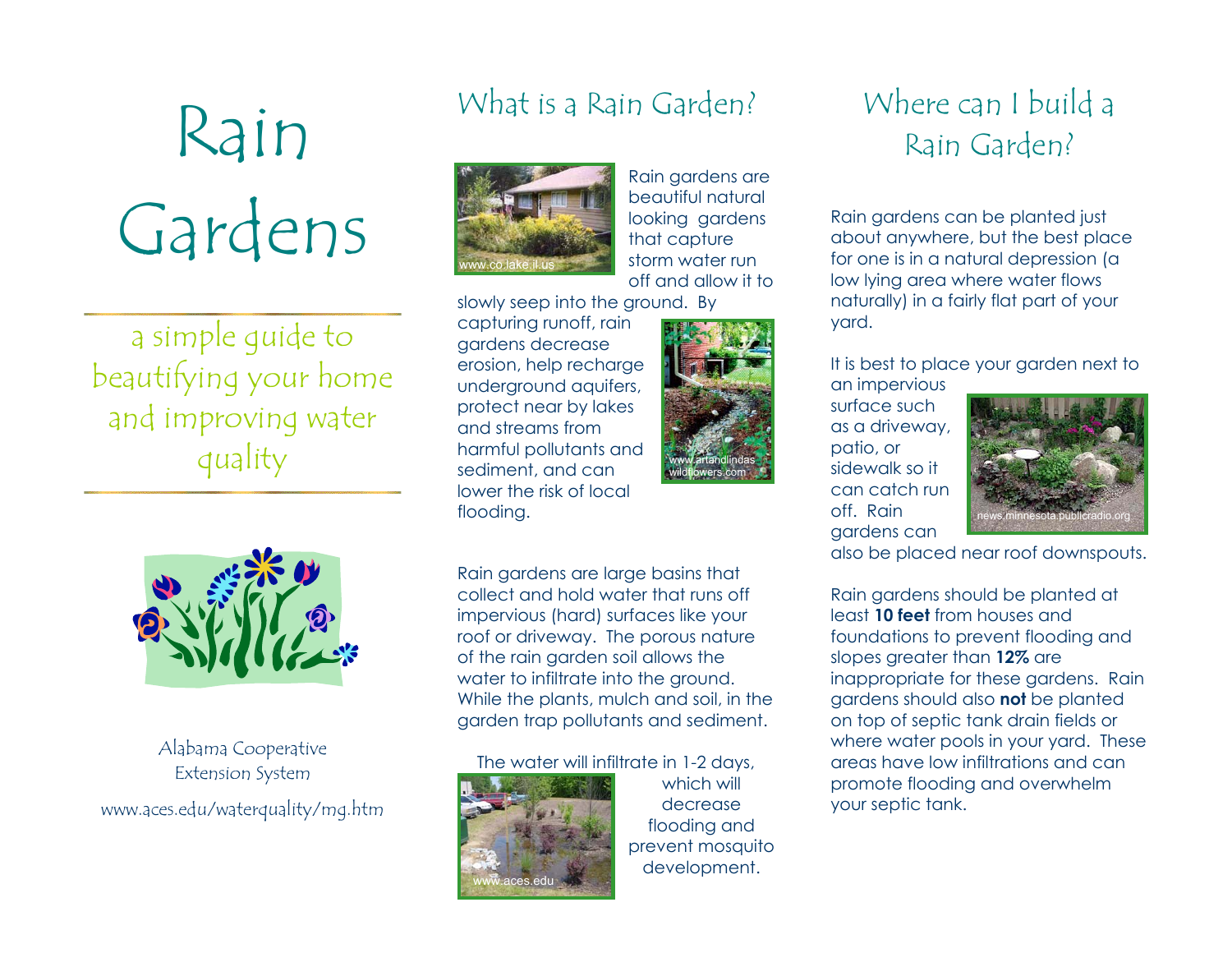# Rain Gardens

a simple guide to beautifying your home and improving water quality



### Alabama Cooperative Extension System www.aces.edu/waterquality/mg.htm

## What is a Rain Garden?



Rain gardens are beautiful natural looking gardens that capture storm water run off and allow it to

slowly seep into the ground. By

capturing runoff, rain gardens decrease erosion, help recharge underground aquifers, protect near by lakes and streams from harmful pollutants and sediment, and can lower the risk of local flooding.



Rain gardens are large basins that collect and hold water that runs off impervious (hard) surfaces like your roof or driveway. The porous nature of the rain garden soil allows the water to infiltrate into the ground. While the plants, mulch and soil, in the garden trap pollutants and sediment.

#### The water will infiltrate in 1-2 days,



which will decrease flooding and prevent mosquito development.

## Where can I build a Rain Garden?

Rain gardens can be planted just about anywhere, but the best place for one is in a natural depression (a low lying area where water flows naturally) in a fairly flat part of your yard.

#### It is best to place your garden next to an impervious

surface such as a driveway, patio, or sidewalk so it can catch run off. Rain gardens can



also be placed near roof downspouts.

Rain gardens should be planted at least **10 feet** from houses and foundations to prevent flooding and slopes greater than **12%** are inappropriate for these gardens. Rain gardens should also **not** be planted on top of septic tank drain fields or where water pools in your yard. These areas have low infiltrations and can promote flooding and overwhelm your septic tank.